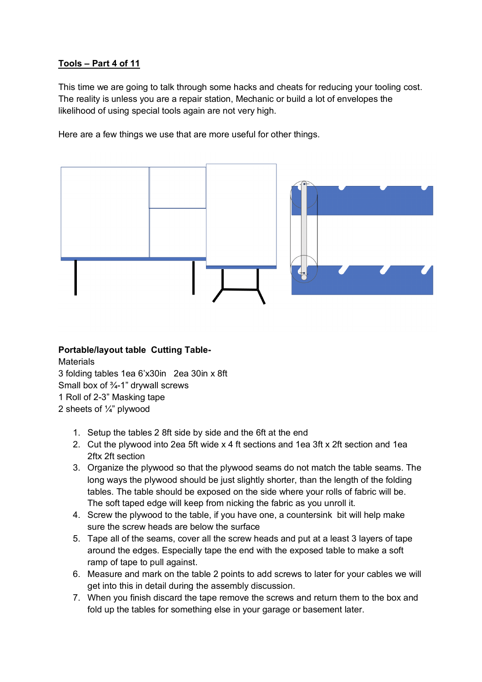# **Tools – Part 4 of 11**

This time we are going to talk through some hacks and cheats for reducing your tooling cost. The reality is unless you are a repair station, Mechanic or build a lot of envelopes the likelihood of using special tools again are not very high.

Here are a few things we use that are more useful for other things.



**Portable/layout table Cutting Table-Materials** 3 folding tables 1ea 6'x30in 2ea 30in x 8ft Small box of  $\frac{3}{4}$ -1" drywall screws 1 Roll of 2-3" Masking tape 2 sheets of ¼" plywood

- 1. Setup the tables 2 8ft side by side and the 6ft at the end
- 2. Cut the plywood into 2ea 5ft wide x 4 ft sections and 1ea 3ft x 2ft section and 1ea 2ftx 2ft section
- 3. Organize the plywood so that the plywood seams do not match the table seams. The long ways the plywood should be just slightly shorter, than the length of the folding tables. The table should be exposed on the side where your rolls of fabric will be. The soft taped edge will keep from nicking the fabric as you unroll it.
- 4. Screw the plywood to the table, if you have one, a countersink bit will help make sure the screw heads are below the surface
- 5. Tape all of the seams, cover all the screw heads and put at a least 3 layers of tape around the edges. Especially tape the end with the exposed table to make a soft ramp of tape to pull against.
- 6. Measure and mark on the table 2 points to add screws to later for your cables we will get into this in detail during the assembly discussion.
- 7. When you finish discard the tape remove the screws and return them to the box and fold up the tables for something else in your garage or basement later.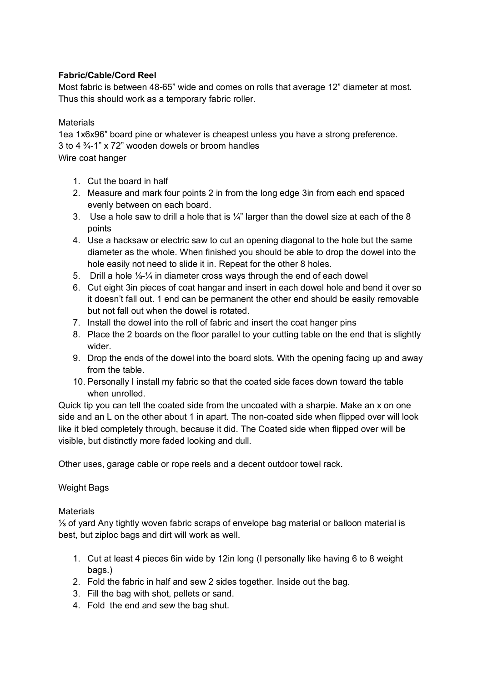## **Fabric/Cable/Cord Reel**

Most fabric is between 48-65" wide and comes on rolls that average 12" diameter at most. Thus this should work as a temporary fabric roller.

#### **Materials**

1ea 1x6x96" board pine or whatever is cheapest unless you have a strong preference. 3 to 4 ¾-1" x 72" wooden dowels or broom handles Wire coat hanger

- 1. Cut the board in half
- 2. Measure and mark four points 2 in from the long edge 3in from each end spaced evenly between on each board.
- 3. Use a hole saw to drill a hole that is  $\frac{1}{4}$ " larger than the dowel size at each of the 8 points
- 4. Use a hacksaw or electric saw to cut an opening diagonal to the hole but the same diameter as the whole. When finished you should be able to drop the dowel into the hole easily not need to slide it in. Repeat for the other 8 holes.
- 5. Drill a hole ⅛-¼ in diameter cross ways through the end of each dowel
- 6. Cut eight 3in pieces of coat hangar and insert in each dowel hole and bend it over so it doesn't fall out. 1 end can be permanent the other end should be easily removable but not fall out when the dowel is rotated.
- 7. Install the dowel into the roll of fabric and insert the coat hanger pins
- 8. Place the 2 boards on the floor parallel to your cutting table on the end that is slightly wider.
- 9. Drop the ends of the dowel into the board slots. With the opening facing up and away from the table.
- 10. Personally I install my fabric so that the coated side faces down toward the table when unrolled.

Quick tip you can tell the coated side from the uncoated with a sharpie. Make an x on one side and an L on the other about 1 in apart. The non-coated side when flipped over will look like it bled completely through, because it did. The Coated side when flipped over will be visible, but distinctly more faded looking and dull.

Other uses, garage cable or rope reels and a decent outdoor towel rack.

## Weight Bags

## **Materials**

⅓ of yard Any tightly woven fabric scraps of envelope bag material or balloon material is best, but ziploc bags and dirt will work as well.

- 1. Cut at least 4 pieces 6in wide by 12in long (I personally like having 6 to 8 weight bags.)
- 2. Fold the fabric in half and sew 2 sides together. Inside out the bag.
- 3. Fill the bag with shot, pellets or sand.
- 4. Fold the end and sew the bag shut.